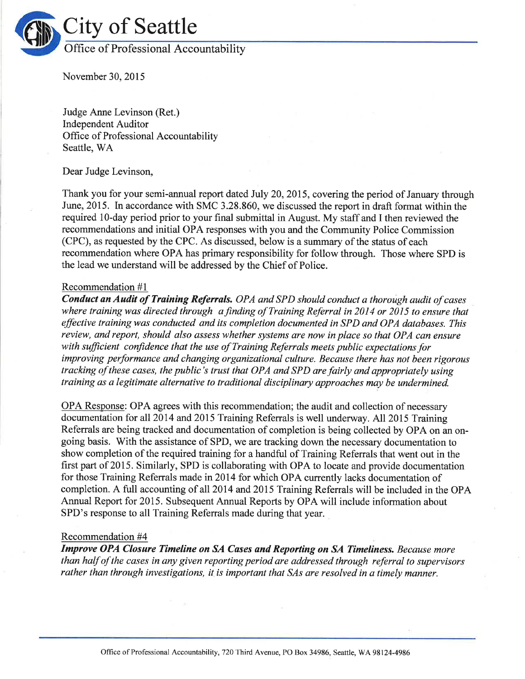

November 30,2015

Judge Anne Levinson (Ret.) Independent Auditor Office of Professional Accountability Seattle, WA

Dear Judge Levinson,

Thank you for your semi-annual report dated July 20, 2015, covering the period of January through June, 2015. In accordance with SMC 3.28.860, we discussed the report in draft format within the required 1O-day period prior to your final submittal in August. My staff and I then reviewed the recommendations and initial OPA responses with you and the Community Police Commission (CPC), as requested by the CPC. As discussed, below is a summary of the status of each recommendation where OPA has primary responsibility for follow through. Those where SPD is the lead we understand will be addressed by the Chief of Police.

### Recommendation #1

Conduct an Audit of Training Referrals. OPA and SPD should conduct a thorough audit of cases where training was directed through a finding of Training Referral in 2014 or 2015 to ensure that effective training was conducted and its completion documented in SPD and OPA databases. This review, and report, should also assess whether systems are now in place so that OPA can ensure with sufficient confidence that the use of Training Referrals meets public expectations for improving performance and changing organizational culture. Because there has not been rigorous tracking of these cases, the public's trust that OPA and SPD are fairly and appropriately using training as a legitimate alternative to traditional disciplinary approaches may be undermined.

OPA Response: OPA agrees with this recommendation; the audit and collection of necessary documentation for all20l4 and20l5 Training Referrals is well underway. All2015 Training Referrals are being tracked and documentation of completion is being collected by OPA on an ongoing basis. With the assistance of SPD, we are tracking down the necessary documentation to show completion of the required training for a handful of Training Refenals that went out in the first part of 2015. Similarly, SPD is collaborating with OPA to locate and provide documentation for those Training Referrals made in2014 for which OPA currently lacks documentation of completion. A full accounting of all 2014 and 2015 Training Referrals will be included in the OPA Annual Report for 2015. Subsequent Annual Reports by OPA will include information about SPD's response to all Training Referrals made during that year.

### Recommendation #4

Improve OPA Closure Tímelíne on SA Cases ønd Reporting on SA Tímelíness. Because more than half of the cases in any given reporting period are addressed through referral to supervisors rather than through investigations, it is important that SAs are resolved in a timely manner.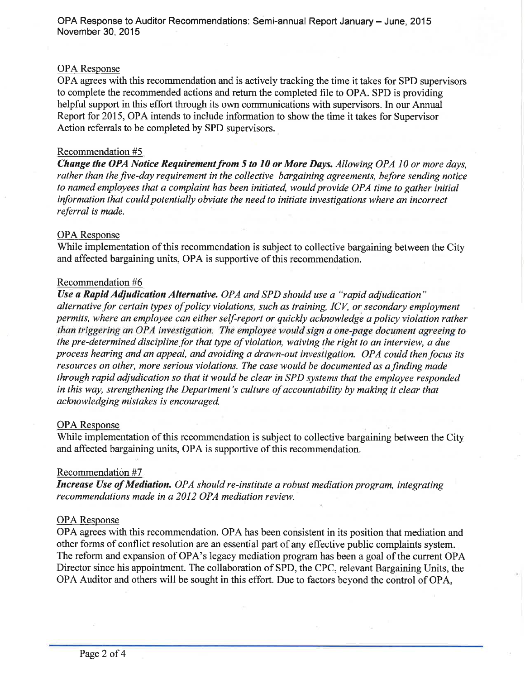### OPA Response

OPA agrees with this recommendation and is actively tracking the time it takes for SPD supervisors to complete the recommended actions and retum the completed file to OPA. SPD is providing helpful support in this effort through its own communications with supervisors. In our Annual Report for 2015, OPA intends to include information to show the time it takes for Supervisor Action referrals to be completed by SPD supervisors.

### Recommendation #5

Change the OPA Notice Requirement from 5 to 10 or More Days. Allowing OPA 10 or more days, rather than the five-day requirement in the collective bargaining agreements, before sending notice to named employees that a complaint has been initiated, would provide OPA time to gather initial inþrmation that could potentially obviate the need to initiate ìnvestigations where an incorrect referral is made.

#### OPA Response

While implementation of this recommendation is subject to collective bargaining between the City and affected bargaining units, OPA is supportive of this recommendation.

#### Recommendation #6

Use a Rapid Adjudication Alternative. OPA and SPD should use a "rapid adjudication" alternative for certain types of policy violations, such as training, ICV, or secondary employment permits, where an employee can either self-report or quickly acknowledge a policy violation rather than triggering an OPA investigation. The employee would sign a one-page document agreeing to the pre-determined discipline for that type of violation, waiving the right to an interview, a due process hearing and an appeal, and avoiding a drawn-out investigation. OPA could then focus its resources on other, more serious violations. The case would be documented as a finding made through rapid adjudication so that it would be clear in SPD systems that the employee responded in this way, strengthening the Department's culture of accountability by making it clear that acknowledging mistakes is encouraged.

### OPA Response

While implementation of this recommendation is subject to collective bargaining between the City and affected bargaining units, OPA is supportive of this recommendation.

#### Recommendatión #7

Increase Use of Medíatíon. OPA should re-institute a robust mediation program, integrating recommendations made in a 2012 OPA mediation review.

### OPA Response

OPA agrees with this recommendation. OPA has been consistent in its position that mediation and other forms of conflict resolution are an essential part of any effective public complaints system. The reform and expansion of OPA's legacy mediation program has been a goal of the current OPA Director since his appointment. The collaboration of SPD, the CPC, relevant Bargaining Units, the OPA Auditor and others will be sought in this effort. Due to factors beyond the control of OPA,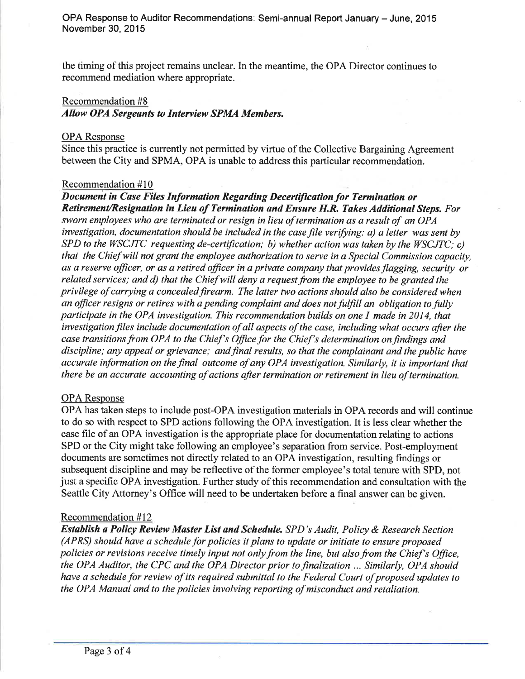the timing of this project remains unclear. In the meantime, the OPA Director continues to recommend mediation where appropriate.

### Recommendation #8

Allow OPA Sergeønts to Intervíew SPMA Members.

# OPA Response

Since this practice is currently not permitted by virtue of the Collective Bargaining Agreement between the City and SPMA, OPA is unable to address this particular recommendation.

# Recommendation #10

Document in Case Files Information Regarding Decertification for Termination or Retirement/Resignation in Lieu of Termination and Ensure H.R. Takes Additional Steps. For sworn employees who are terminated or resign in lieu of termination as a result of an OPA investigation, documentation should be included in the case file verifying: a) a letter was sent by SPD to the WSCJTC requesting de-certification; b) whether action was taken by the WSCJTC; c) that the Chiefwill not grant the employee authorization to serve in a Special Commission capacity, as a reserve officer, or as a retired officer in a private company that provides flagging, security or related services; and d) that the Chiefwill deny a request from the employee to be granted the privilege of carrying a concealed firearm. The latter two actions should also be considered when an officer resigns or retires with a pending complaint and does not fulfill an obligation to fully participate in the OPA investigation. This recommendation builds on one I made in 2014, that investigation files include documentation of all aspects of the case, including what occurs after the case transitions from OPA to the Chief's Office for the Chief's determination on findings and discipline; any appeal or grievance; and final results, so that the complainant and the public have accurate information on the final outcome of any OPA investigation. Similarly, it is important that there be an accurate accounting of actions after termination or retirement in lieu of termination.

# OPA Response

OPA has taken steps to include post-OPA investigation materials in OPA records and will continue to do so with respect to SPD actions following the OPA investigation. It is less clear whether the case file of an OPA investigation is the appropriate place for documentation relating to actions SPD or the City might take following an employee's separation from service. Post-employment documents are sometimes not directly related to an OPA investigation, resulting findings or subsequent discipline and may be reflective of the former employee's total tenure with SPD, not just a specific OPA investigation. Further study of this recommendation and consultation with the Seattle City Attorney's Office will need to be undertaken before a final answer can be given.

# Recommendation #12

Establish a Policy Review Master List and Schedule. SPD's Audit, Policy & Research Section (APRS) should have a schedule for policies it plans to update or initiate to ensure proposed policies or revisions receive timely input not only from the line, but also from the Chief's Office, the OPA Auditor, the CPC and the OPA Director prior to finalization ... Similarly, OPA should have a schedule for review of its required submittal to the Federal Court of proposed updates to the OPA Manual and to the policies involving reporting of misconduct and retaliation.